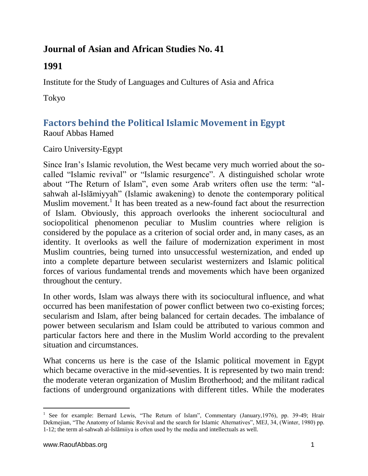# **Journal of Asian and African Studies No. 41**

# **1991**

Institute for the Study of Languages and Cultures of Asia and Africa

Tokyo

# **Factors behind the Political Islamic Movement in Egypt** Raouf Abbas Hamed

# Cairo University-Egypt

Since Iran's Islamic revolution, the West became very much worried about the socalled "Islamic revival" or "Islamic resurgence". A distinguished scholar wrote about "The Return of Islam", even some Arab writers often use the term: "alsahwah al-Islāmiyyah" (Islamic awakening) to denote the contemporary political Muslim movement.<sup>1</sup> It has been treated as a new-found fact about the resurrection of Islam. Obviously, this approach overlooks the inherent sociocultural and sociopolitical phenomenon peculiar to Muslim countries where religion is considered by the populace as a criterion of social order and, in many cases, as an identity. It overlooks as well the failure of modernization experiment in most Muslim countries, being turned into unsuccessful westernization, and ended up into a complete departure between secularist westernizers and Islamic political forces of various fundamental trends and movements which have been organized throughout the century.

In other words, Islam was always there with its sociocultural influence, and what occurred has been manifestation of power conflict between two co-existing forces; secularism and Islam, after being balanced for certain decades. The imbalance of power between secularism and Islam could be attributed to various common and particular factors here and there in the Muslim World according to the prevalent situation and circumstances.

What concerns us here is the case of the Islamic political movement in Egypt which became overactive in the mid-seventies. It is represented by two main trend: the moderate veteran organization of Muslim Brotherhood; and the militant radical factions of underground organizations with different titles. While the moderates

 $\overline{a}$ <sup>1</sup> See for example: Bernard Lewis, "The Return of Islam", Commentary (January, 1976), pp. 39-49; Hrair Dekmejian, "The Anatomy of Islamic Revival and the search for Islamic Alternatives", MEJ, 34, (Winter, 1980) pp. 1-12; the term al-sahwah al-Islāmiiya is often used by the media and intellectuals as well.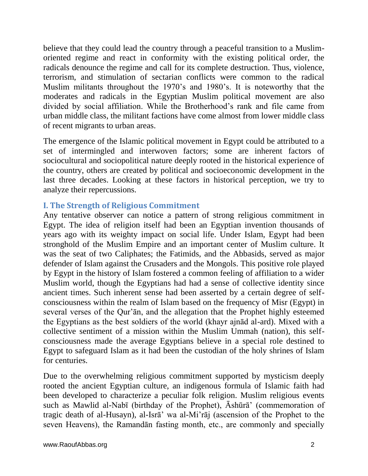believe that they could lead the country through a peaceful transition to a Muslimoriented regime and react in conformity with the existing political order, the radicals denounce the regime and call for its complete destruction. Thus, violence, terrorism, and stimulation of sectarian conflicts were common to the radical Muslim militants throughout the 1970's and 1980's. It is noteworthy that the moderates and radicals in the Egyptian Muslim political movement are also divided by social affiliation. While the Brotherhood's rank and file came from urban middle class, the militant factions have come almost from lower middle class of recent migrants to urban areas.

The emergence of the Islamic political movement in Egypt could be attributed to a set of intermingled and interwoven factors; some are inherent factors of sociocultural and sociopolitical nature deeply rooted in the historical experience of the country, others are created by political and socioeconomic development in the last three decades. Looking at these factors in historical perception, we try to analyze their repercussions.

#### **I. The Strength of Religious Commitment**

Any tentative observer can notice a pattern of strong religious commitment in Egypt. The idea of religion itself had been an Egyptian invention thousands of years ago with its weighty impact on social life. Under Islam, Egypt had been stronghold of the Muslim Empire and an important center of Muslim culture. It was the seat of two Caliphates; the Fatimids, and the Abbasids, served as major defender of Islam against the Crusaders and the Mongols. This positive role played by Egypt in the history of Islam fostered a common feeling of affiliation to a wider Muslim world, though the Egyptians had had a sense of collective identity since ancient times. Such inherent sense had been asserted by a certain degree of selfconsciousness within the realm of Islam based on the frequency of Misr (Egypt) in several verses of the Qur'ān, and the allegation that the Prophet highly esteemed the Egyptians as the best soldiers of the world (khayr ajnād al-ard). Mixed with a collective sentiment of a mission within the Muslim Ummah (nation), this selfconsciousness made the average Egyptians believe in a special role destined to Egypt to safeguard Islam as it had been the custodian of the holy shrines of Islam for centuries.

Due to the overwhelming religious commitment supported by mysticism deeply rooted the ancient Egyptian culture, an indigenous formula of Islamic faith had been developed to characterize a peculiar folk religion. Muslim religious events such as Mawlid al-Nabī (birthday of the Prophet), Āshūrā' (commemoration of tragic death of al-Husayn), al-Isrā' wa al-Mi'rāj (ascension of the Prophet to the seven Heavens), the Ramandān fasting month, etc., are commonly and specially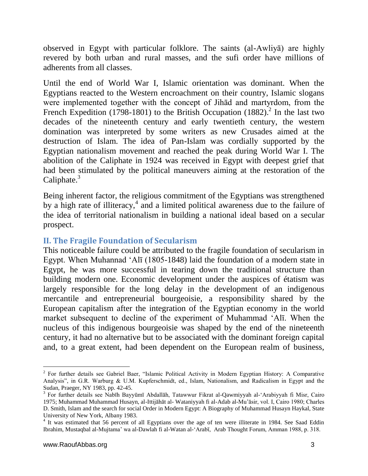observed in Egypt with particular folklore. The saints (al-Awliyā) are highly revered by both urban and rural masses, and the sufi order have millions of adherents from all classes.

Until the end of World War I, Islamic orientation was dominant. When the Egyptians reacted to the Western encroachment on their country, Islamic slogans were implemented together with the concept of Jihād and martyrdom, from the French Expedition (1798-1801) to the British Occupation (1882).<sup>2</sup> In the last two decades of the nineteenth century and early twentieth century, the western domination was interpreted by some writers as new Crusades aimed at the destruction of Islam. The idea of Pan-Islam was cordially supported by the Egyptian nationalism movement and reached the peak during World War I. The abolition of the Caliphate in 1924 was received in Egypt with deepest grief that had been stimulated by the political maneuvers aiming at the restoration of the Caliphate. $3$ 

Being inherent factor, the religious commitment of the Egyptians was strengthened by a high rate of illiteracy, $4$  and a limited political awareness due to the failure of the idea of territorial nationalism in building a national ideal based on a secular prospect.

#### **II. The Fragile Foundation of Secularism**

This noticeable failure could be attributed to the fragile foundation of secularism in Egypt. When Muhannad 'Alī (1805-1848) laid the foundation of a modern state in Egypt, he was more successful in tearing down the traditional structure than building modern one. Economic development under the auspices of étatism was largely responsible for the long delay in the development of an indigenous mercantile and entrepreneurial bourgeoisie, a responsibility shared by the European capitalism after the integration of the Egyptian economy in the world market subsequent to decline of the experiment of Muhammad 'Alī. When the nucleus of this indigenous bourgeoisie was shaped by the end of the nineteenth century, it had no alternative but to be associated with the dominant foreign capital and, to a great extent, had been dependent on the European realm of business,

 $\overline{a}$ 

<sup>&</sup>lt;sup>2</sup> For further details see Gabriel Baer, "Islamic Political Activity in Modern Egyptian History: A Comparative Analysis", in G.R. Warburg & U.M. Kupferschmidt, ed., Islam, Nationalism, and Radicalism in Egypt and the Sudan, Praeger, NY 1983, pp. 42-45.

<sup>&</sup>lt;sup>3</sup> For further details see Nabīh Bayyūmī Abdallāh, Tatawwur Fikrat al-Qawmiyyah al-'Arabiyyah fi Misr, Cairo 1975; Muhammad Muhammad Husayn, al-Ittijāhāt al- Wataniyyah fi al-Adab al-Mu'āsir, vol. I, Cairo 1980; Charles D. Smith, Islam and the search for social Order in Modern Egypt: A Biography of Muhammad Husayn Haykal, State University of New York, Albany 1983.

<sup>&</sup>lt;sup>4</sup> It was estimated that 56 percent of all Egyptians over the age of ten were illiterate in 1984. See Saad Eddin Ibrahim, Mustaqbal al-Mujtama' wa al-Dawlah fi al-Watan al-'Arabī, Arab Thought Forum, Amman 1988, p. 318.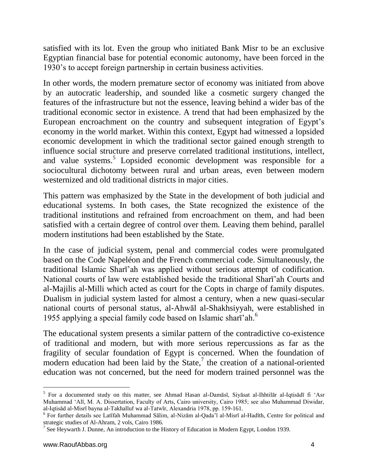satisfied with its lot. Even the group who initiated Bank Misr to be an exclusive Egyptian financial base for potential economic autonomy, have been forced in the 1930's to accept foreign partnership in certain business activities.

In other words, the modern premature sector of economy was initiated from above by an autocratic leadership, and sounded like a cosmetic surgery changed the features of the infrastructure but not the essence, leaving behind a wider bas of the traditional economic sector in existence. A trend that had been emphasized by the European encroachment on the country and subsequent integration of Egypt's economy in the world market. Within this context, Egypt had witnessed a lopsided economic development in which the traditional sector gained enough strength to influence social structure and preserve correlated traditional institutions, intellect, and value systems.<sup>5</sup> Lopsided economic development was responsible for a sociocultural dichotomy between rural and urban areas, even between modern westernized and old traditional districts in major cities.

This pattern was emphasized by the State in the development of both judicial and educational systems. In both cases, the State recognized the existence of the traditional institutions and refrained from encroachment on them, and had been satisfied with a certain degree of control over them. Leaving them behind, parallel modern institutions had been established by the State.

In the case of judicial system, penal and commercial codes were promulgated based on the Code Napeléon and the French commercial code. Simultaneously, the traditional Islamic Sharī'ah was applied without serious attempt of codification. National courts of law were established beside the traditional Sharī'ah Courts and al-Majilis al-Milli which acted as court for the Copts in charge of family disputes. Dualism in judicial system lasted for almost a century, when a new quasi-secular national courts of personal status, al-Ahwāl al-Shakhsiyyah, were established in 1955 applying a special family code based on Islamic sharī'ah.<sup>6</sup>

The educational system presents a similar pattern of the contradictive co-existence of traditional and modern, but with more serious repercussions as far as the fragility of secular foundation of Egypt is concerned. When the foundation of modern education had been laid by the State, $\frac{7}{1}$  the creation of a national-oriented education was not concerned, but the need for modern trained personnel was the

 $\overline{a}$ 

<sup>5</sup> For a documented study on this matter, see Ahmad Hasan al-Damāsī, Siyāsat al-Ihhtilār al-Iqtisādī fi 'Asr Muhammad 'Alī, M. A. Dissertation, Faculty of Arts, Cairo university, Cairo 1985; see also Muhammad Diwidar, al-Iqtisād al-Misrī bayna al-Takhalluf wa al-Tatwīr, Alexandria 1978, pp. 159-161.

<sup>6</sup> For further details see Latīfah Muhammad Sālim, al-Nizām al-Qada'ī al-Misrī al-Hadīth, Centre for political and strategic studies of Al-Ahram, 2 vols, Cairo 1986.

<sup>&</sup>lt;sup>7</sup> See Heywarth J. Dunne, An introduction to the History of Education in Modern Egypt, London 1939.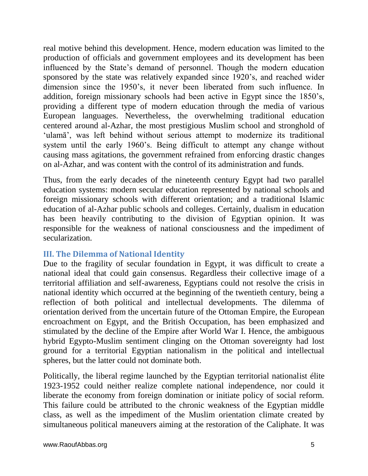real motive behind this development. Hence, modern education was limited to the production of officials and government employees and its development has been influenced by the State's demand of personnel. Though the modern education sponsored by the state was relatively expanded since 1920's, and reached wider dimension since the 1950's, it never been liberated from such influence. In addition, foreign missionary schools had been active in Egypt since the 1850's, providing a different type of modern education through the media of various European languages. Nevertheless, the overwhelming traditional education centered around al-Azhar, the most prestigious Muslim school and stronghold of 'ulamā', was left behind without serious attempt to modernize its traditional system until the early 1960's. Being difficult to attempt any change without causing mass agitations, the government refrained from enforcing drastic changes on al-Azhar, and was content with the control of its administration and funds.

Thus, from the early decades of the nineteenth century Egypt had two parallel education systems: modern secular education represented by national schools and foreign missionary schools with different orientation; and a traditional Islamic education of al-Azhar public schools and colleges. Certainly, dualism in education has been heavily contributing to the division of Egyptian opinion. It was responsible for the weakness of national consciousness and the impediment of secularization.

## **III. The Dilemma of National Identity**

Due to the fragility of secular foundation in Egypt, it was difficult to create a national ideal that could gain consensus. Regardless their collective image of a territorial affiliation and self-awareness, Egyptians could not resolve the crisis in national identity which occurred at the beginning of the twentieth century, being a reflection of both political and intellectual developments. The dilemma of orientation derived from the uncertain future of the Ottoman Empire, the European encroachment on Egypt, and the British Occupation, has been emphasized and stimulated by the decline of the Empire after World War I. Hence, the ambiguous hybrid Egypto-Muslim sentiment clinging on the Ottoman sovereignty had lost ground for a territorial Egyptian nationalism in the political and intellectual spheres, but the latter could not dominate both.

Politically, the liberal regime launched by the Egyptian territorial nationalist élite 1923-1952 could neither realize complete national independence, nor could it liberate the economy from foreign domination or initiate policy of social reform. This failure could be attributed to the chronic weakness of the Egyptian middle class, as well as the impediment of the Muslim orientation climate created by simultaneous political maneuvers aiming at the restoration of the Caliphate. It was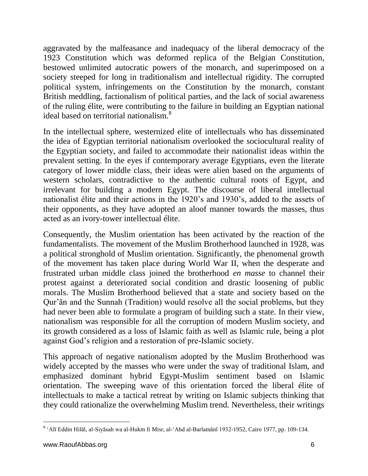aggravated by the malfeasance and inadequacy of the liberal democracy of the 1923 Constitution which was deformed replica of the Belgian Constitution, bestowed unlimited autocratic powers of the monarch, and superimposed on a society steeped for long in traditionalism and intellectual rigidity. The corrupted political system, infringements on the Constitution by the monarch, constant British meddling, factionalism of political parties, and the lack of social awareness of the ruling élite, were contributing to the failure in building an Egyptian national ideal based on territorial nationalism.<sup>8</sup>

In the intellectual sphere, westernized elite of intellectuals who has disseminated the idea of Egyptian territorial nationalism overlooked the sociocultural reality of the Egyptian society, and failed to accommodate their nationalist ideas within the prevalent setting. In the eyes if contemporary average Egyptians, even the literate category of lower middle class, their ideas were alien based on the arguments of western scholars, contradictive to the authentic cultural roots of Egypt, and irrelevant for building a modern Egypt. The discourse of liberal intellectual nationalist élite and their actions in the 1920's and 1930's, added to the assets of their opponents, as they have adopted an aloof manner towards the masses, thus acted as an ivory-tower intellectual élite.

Consequently, the Muslim orientation has been activated by the reaction of the fundamentalists. The movement of the Muslim Brotherhood launched in 1928, was a political stronghold of Muslim orientation. Significantly, the phenomenal growth of the movement has taken place during World War II, when the desperate and frustrated urban middle class joined the brotherhood *en masse* to channel their protest against a deteriorated social condition and drastic loosening of public morals. The Muslim Brotherhood believed that a state and society based on the Qur'ān and the Sunnah (Tradition) would resolve all the social problems, but they had never been able to formulate a program of building such a state. In their view, nationalism was responsible for all the corruption of modern Muslim society, and its growth considered as a loss of Islamic faith as well as Islamic rule, being a plot against God's religion and a restoration of pre-Islamic society.

This approach of negative nationalism adopted by the Muslim Brotherhood was widely accepted by the masses who were under the sway of traditional Islam, and emphasized dominant hybrid Egypt-Muslim sentiment based on Islamic orientation. The sweeping wave of this orientation forced the liberal élite of intellectuals to make a tactical retreat by writing on Islamic subjects thinking that they could rationalize the overwhelming Muslim trend. Nevertheless, their writings

 $\overline{a}$ <sup>8</sup> 'Alī Eddin Hilāl, al-Siyāsah wa al-Hukm fi Misr, al-'Ahd al-Barlamānī 1932-1952, Cairo 1977, pp. 109-134.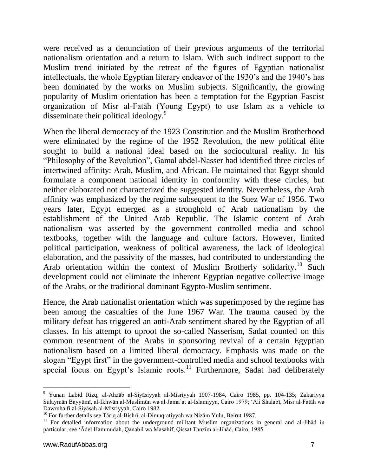were received as a denunciation of their previous arguments of the territorial nationalism orientation and a return to Islam. With such indirect support to the Muslim trend initiated by the retreat of the figures of Egyptian nationalist intellectuals, the whole Egyptian literary endeavor of the 1930's and the 1940's has been dominated by the works on Muslim subjects. Significantly, the growing popularity of Muslim orientation has been a temptation for the Egyptian Fascist organization of Misr al-Fatāh (Young Egypt) to use Islam as a vehicle to disseminate their political ideology.<sup>9</sup>

When the liberal democracy of the 1923 Constitution and the Muslim Brotherhood were eliminated by the regime of the 1952 Revolution, the new political élite sought to build a national ideal based on the sociocultural reality. In his "Philosophy of the Revolution", Gamal abdel-Nasser had identified three circles of intertwined affinity: Arab, Muslim, and African. He maintained that Egypt should formulate a component national identity in conformity with these circles, but neither elaborated not characterized the suggested identity. Nevertheless, the Arab affinity was emphasized by the regime subsequent to the Suez War of 1956. Two years later, Egypt emerged as a stronghold of Arab nationalism by the establishment of the United Arab Republic. The Islamic content of Arab nationalism was asserted by the government controlled media and school textbooks, together with the language and culture factors. However, limited political participation, weakness of political awareness, the lack of ideological elaboration, and the passivity of the masses, had contributed to understanding the Arab orientation within the context of Muslim Brotherly solidarity.<sup>10</sup> Such development could not eliminate the inherent Egyptian negative collective image of the Arabs, or the traditional dominant Egypto-Muslim sentiment.

Hence, the Arab nationalist orientation which was superimposed by the regime has been among the casualties of the June 1967 War. The trauma caused by the military defeat has triggered an anti-Arab sentiment shared by the Egyptian of all classes. In his attempt to uproot the so-called Nasserism, Sadat counted on this common resentment of the Arabs in sponsoring revival of a certain Egyptian nationalism based on a limited liberal democracy. Emphasis was made on the slogan "Egypt first" in the government-controlled media and school textbooks with special focus on Egypt's Islamic roots.<sup>11</sup> Furthermore, Sadat had deliberately

 $\overline{a}$ <sup>9</sup> Yunan Labid Rizq, al-Ahzāb al-Siyāsiyyah al-Misriyyah 1907-1984, Cairo 1985, pp. 104-135; Zakariyya Sulaymān Bayyūmī, al-Ikhwān al-Muslimūn wa al-Jama'at al-Islamiyya, Cairo 1979; 'Ali Shalabī, Misr al-Fatāh wa Dawruha fi al-Siyāsah al-Misriyyah, Cairo 1982.

<sup>&</sup>lt;sup>10</sup> For further details see Tāriq al-Bishrī, al-Dimuqratiyyah wa Nizām Yulu, Beirut 1987.

<sup>&</sup>lt;sup>11</sup> For detailed information about the underground militant Muslim organizations in general and al-Jihad in particular, see 'Ādel Hammudah, Qanabil wa Masahif, Qissat Tanzīm al-Jihād, Cairo, 1985.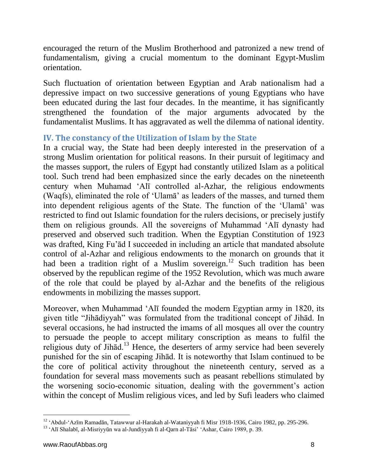encouraged the return of the Muslim Brotherhood and patronized a new trend of fundamentalism, giving a crucial momentum to the dominant Egypt-Muslim orientation.

Such fluctuation of orientation between Egyptian and Arab nationalism had a depressive impact on two successive generations of young Egyptians who have been educated during the last four decades. In the meantime, it has significantly strengthened the foundation of the major arguments advocated by the fundamentalist Muslims. It has aggravated as well the dilemma of national identity.

#### **IV. The constancy of the Utilization of Islam by the State**

In a crucial way, the State had been deeply interested in the preservation of a strong Muslim orientation for political reasons. In their pursuit of legitimacy and the masses support, the rulers of Egypt had constantly utilized Islam as a political tool. Such trend had been emphasized since the early decades on the nineteenth century when Muhamad 'Alī controlled al-Azhar, the religious endowments (Waqfs), eliminated the role of 'Ulamā' as leaders of the masses, and turned them into dependent religious agents of the State. The function of the 'Ulamā' was restricted to find out Islamic foundation for the rulers decisions, or precisely justify them on religious grounds. All the sovereigns of Muhammad 'Alī dynasty had preserved and observed such tradition. When the Egyptian Constitution of 1923 was drafted, King Fu'ād I succeeded in including an article that mandated absolute control of al-Azhar and religious endowments to the monarch on grounds that it had been a tradition right of a Muslim sovereign.<sup>12</sup> Such tradition has been observed by the republican regime of the 1952 Revolution, which was much aware of the role that could be played by al-Azhar and the benefits of the religious endowments in mobilizing the masses support.

Moreover, when Muhammad 'Alī founded the modern Egyptian army in 1820, its given title "Jihādiyyah" was formulated from the traditional concept of Jihād. In several occasions, he had instructed the imams of all mosques all over the country to persuade the people to accept military conscription as means to fulfil the religious duty of Jihād.<sup>13</sup> Hence, the deserters of army service had been severely punished for the sin of escaping Jihād. It is noteworthy that Islam continued to be the core of political activity throughout the nineteenth century, served as a foundation for several mass movements such as peasant rebellions stimulated by the worsening socio-economic situation, dealing with the government's action within the concept of Muslim religious vices, and led by Sufi leaders who claimed

l <sup>12</sup> 'Abdul-'Azīm Ramadān, Tatawwur al-Harakah al-Wataniyyah fi Misr 1918-1936, Cairo 1982, pp. 295-296.

<sup>&</sup>lt;sup>13</sup> 'Alī Shalabī, al-Misriyyūn wa al-Jundiyyah fi al-Qarn al-Tāsi' 'Ashar, Cairo 1989, p. 39.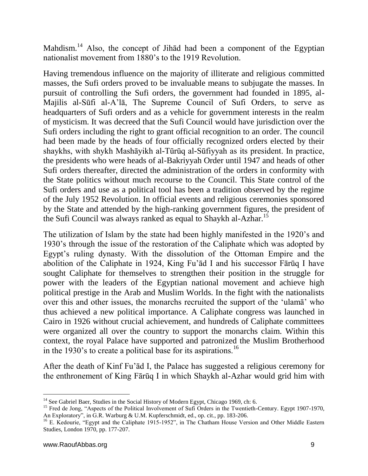Mahdism.<sup>14</sup> Also, the concept of Jihad had been a component of the Egyptian nationalist movement from 1880's to the 1919 Revolution.

Having tremendous influence on the majority of illiterate and religious committed masses, the Sufi orders proved to be invaluable means to subjugate the masses. In pursuit of controlling the Sufi orders, the government had founded in 1895, al-Majilis al-Sūfi al-A'lā, The Supreme Council of Sufi Orders, to serve as headquarters of Sufi orders and as a vehicle for government interests in the realm of mysticism. It was decreed that the Sufi Council would have jurisdiction over the Sufi orders including the right to grant official recognition to an order. The council had been made by the heads of four officially recognized orders elected by their shaykhs, with shykh Mashāyikh al-Tūrūq al-Sūfiyyah as its president. In practice, the presidents who were heads of al-Bakriyyah Order until 1947 and heads of other Sufi orders thereafter, directed the administration of the orders in conformity with the State politics without much recourse to the Council. This State control of the Sufi orders and use as a political tool has been a tradition observed by the regime of the July 1952 Revolution. In official events and religious ceremonies sponsored by the State and attended by the high-ranking government figures, the president of the Sufi Council was always ranked as equal to Shaykh al-Azhar.<sup>15</sup>

The utilization of Islam by the state had been highly manifested in the 1920's and 1930's through the issue of the restoration of the Caliphate which was adopted by Egypt's ruling dynasty. With the dissolution of the Ottoman Empire and the abolition of the Caliphate in 1924, King Fu'ād I and his successor Fārūq I have sought Caliphate for themselves to strengthen their position in the struggle for power with the leaders of the Egyptian national movement and achieve high political prestige in the Arab and Muslim Worlds. In the fight with the nationalists over this and other issues, the monarchs recruited the support of the 'ulamā' who thus achieved a new political importance. A Caliphate congress was launched in Cairo in 1926 without crucial achievement, and hundreds of Caliphate committees were organized all over the country to support the monarchs claim. Within this context, the royal Palace have supported and patronized the Muslim Brotherhood in the 1930's to create a political base for its aspirations.<sup>16</sup>

After the death of Kinf Fu'ād I, the Palace has suggested a religious ceremony for the enthronement of King Fārūq I in which Shaykh al-Azhar would grid him with

l <sup>14</sup> See Gabriel Baer, Studies in the Social History of Modern Egypt, Chicago 1969, ch: 6.

<sup>&</sup>lt;sup>15</sup> Fred de Jong, "Aspects of the Political Involvement of Sufi Orders in the Twentieth-Century. Egypt 1907-1970, An Exploratory", in G.R. Warburg & U.M. Kupferschmidt, ed., op. cit., pp. 183-206.

<sup>&</sup>lt;sup>16</sup> E. Kedourie, "Egypt and the Caliphate 1915-1952", in The Chatham House Version and Other Middle Eastern Studies, London 1970, pp. 177-207.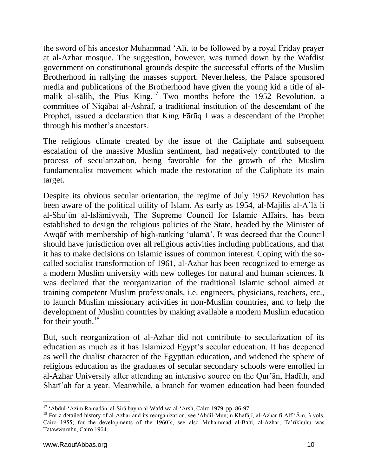the sword of his ancestor Muhammad 'Alī, to be followed by a royal Friday prayer at al-Azhar mosque. The suggestion, however, was turned down by the Wafdist government on constitutional grounds despite the successful efforts of the Muslim Brotherhood in rallying the masses support. Nevertheless, the Palace sponsored media and publications of the Brotherhood have given the young kid a title of almalik al-sālih, the Pius King.<sup>17</sup> Two months before the 1952 Revolution, a committee of Niqābat al-Ashrāf, a traditional institution of the descendant of the Prophet, issued a declaration that King Fārūq I was a descendant of the Prophet through his mother's ancestors.

The religious climate created by the issue of the Caliphate and subsequent escalation of the massive Muslim sentiment, had negatively contributed to the process of secularization, being favorable for the growth of the Muslim fundamentalist movement which made the restoration of the Caliphate its main target.

Despite its obvious secular orientation, the regime of July 1952 Revolution has been aware of the political utility of Islam. As early as 1954, al-Majilis al-A'lā li al-Shu'ūn al-Islāmiyyah, The Supreme Council for Islamic Affairs, has been established to design the religious policies of the State, headed by the Minister of Awqāf with membership of high-ranking 'ulamā'. It was decreed that the Council should have jurisdiction over all religious activities including publications, and that it has to make decisions on Islamic issues of common interest. Coping with the socalled socialist transformation of 1961, al-Azhar has been recognized to emerge as a modern Muslim university with new colleges for natural and human sciences. It was declared that the reorganization of the traditional Islamic school aimed at training competent Muslim professionals, i.e. engineers, physicians, teachers, etc., to launch Muslim missionary activities in non-Muslim countries, and to help the development of Muslim countries by making available a modern Muslim education for their youth. $^{18}$ 

But, such reorganization of al-Azhar did not contribute to secularization of its education as much as it has Islamized Egypt's secular education. It has deepened as well the dualist character of the Egyptian education, and widened the sphere of religious education as the graduates of secular secondary schools were enrolled in al-Azhar University after attending an intensive source on the Qur'ān, Hadīth, and Sharī'ah for a year. Meanwhile, a branch for women education had been founded

<sup>17</sup> 'Abdul-'Azīm Ramadān, al-Sirā bayna al-Wafd wa al-'Arsh, Cairo 1979, pp. 86-97.

<sup>&</sup>lt;sup>18</sup> For a detailed history of al-Azhar and its reorganization, see 'Abdil-Mun;in Khafājī, al-Azhar fi Alf 'Ām, 3 vols, Cairo 1955; for the developments of the 1960's, see also Muhammad al-Bahi, al-Azhar, Ta'rīkhuhu was Tatawwuruhu, Cairo 1964.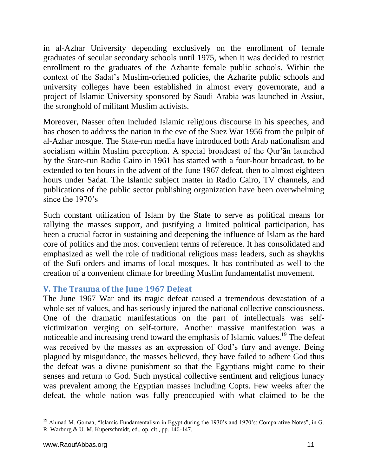in al-Azhar University depending exclusively on the enrollment of female graduates of secular secondary schools until 1975, when it was decided to restrict enrollment to the graduates of the Azharite female public schools. Within the context of the Sadat's Muslim-oriented policies, the Azharite public schools and university colleges have been established in almost every governorate, and a project of Islamic University sponsored by Saudi Arabia was launched in Assiut, the stronghold of militant Muslim activists.

Moreover, Nasser often included Islamic religious discourse in his speeches, and has chosen to address the nation in the eve of the Suez War 1956 from the pulpit of al-Azhar mosque. The State-run media have introduced both Arab nationalism and socialism within Muslim perception. A special broadcast of the Qur'ān launched by the State-run Radio Cairo in 1961 has started with a four-hour broadcast, to be extended to ten hours in the advent of the June 1967 defeat, then to almost eighteen hours under Sadat. The Islamic subject matter in Radio Cairo, TV channels, and publications of the public sector publishing organization have been overwhelming since the 1970's

Such constant utilization of Islam by the State to serve as political means for rallying the masses support, and justifying a limited political participation, has been a crucial factor in sustaining and deepening the influence of Islam as the hard core of politics and the most convenient terms of reference. It has consolidated and emphasized as well the role of traditional religious mass leaders, such as shaykhs of the Sufi orders and imams of local mosques. It has contributed as well to the creation of a convenient climate for breeding Muslim fundamentalist movement.

#### **V. The Trauma of the June 1967 Defeat**

The June 1967 War and its tragic defeat caused a tremendous devastation of a whole set of values, and has seriously injured the national collective consciousness. One of the dramatic manifestations on the part of intellectuals was selfvictimization verging on self-torture. Another massive manifestation was a noticeable and increasing trend toward the emphasis of Islamic values.<sup>19</sup> The defeat was received by the masses as an expression of God's fury and avenge. Being plagued by misguidance, the masses believed, they have failed to adhere God thus the defeat was a divine punishment so that the Egyptians might come to their senses and return to God. Such mystical collective sentiment and religious lunacy was prevalent among the Egyptian masses including Copts. Few weeks after the defeat, the whole nation was fully preoccupied with what claimed to be the

<sup>&</sup>lt;sup>19</sup> Ahmad M. Gomaa, "Islamic Fundamentalism in Egypt during the 1930's and 1970's: Comparative Notes", in G. R. Warburg & U. M. Kuperschmidt, ed., op. cit., pp. 146-147.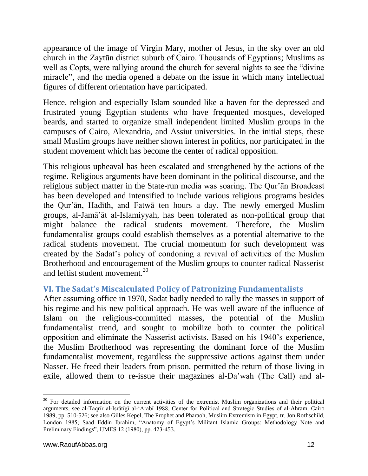appearance of the image of Virgin Mary, mother of Jesus, in the sky over an old church in the Zaytūn district suburb of Cairo. Thousands of Egyptians; Muslims as well as Copts, were rallying around the church for several nights to see the "divine miracle", and the media opened a debate on the issue in which many intellectual figures of different orientation have participated.

Hence, religion and especially Islam sounded like a haven for the depressed and frustrated young Egyptian students who have frequented mosques, developed beards, and started to organize small independent limited Muslim groups in the campuses of Cairo, Alexandria, and Assiut universities. In the initial steps, these small Muslim groups have neither shown interest in politics, nor participated in the student movement which has become the center of radical opposition.

This religious upheaval has been escalated and strengthened by the actions of the regime. Religious arguments have been dominant in the political discourse, and the religious subject matter in the State-run media was soaring. The Qur'ān Broadcast has been developed and intensified to include various religious programs besides the Qur'ān, Hadīth, and Fatwā ten hours a day. The newly emerged Muslim groups, al-Jamā'āt al-Islamiyyah, has been tolerated as non-political group that might balance the radical students movement. Therefore, the Muslim fundamentalist groups could establish themselves as a potential alternative to the radical students movement. The crucial momentum for such development was created by the Sadat's policy of condoning a revival of activities of the Muslim Brotherhood and encouragement of the Muslim groups to counter radical Nasserist and leftist student movement.<sup>20</sup>

## **VI. The Sadat's Miscalculated Policy of Patronizing Fundamentalists**

After assuming office in 1970, Sadat badly needed to rally the masses in support of his regime and his new political approach. He was well aware of the influence of Islam on the religious-committed masses, the potential of the Muslim fundamentalist trend, and sought to mobilize both to counter the political opposition and eliminate the Nasserist activists. Based on his 1940's experience, the Muslim Brotherhood was representing the dominant force of the Muslim fundamentalist movement, regardless the suppressive actions against them under Nasser. He freed their leaders from prison, permitted the return of those living in exile, allowed them to re-issue their magazines al-Da'wah (The Call) and al-

<sup>&</sup>lt;sup>20</sup> For detailed information on the current activities of the extremist Muslim organizations and their political arguments, see al-Taqrīr al-Isrātīgī al-'Arabī 1988, Center for Political and Strategic Studies of al-Ahram, Cairo 1989, pp. 510-526; see also Gilles Kepel, The Prophet and Pharaoh, Muslim Extremism in Egypt, tr. Jon Rothschild, London 1985; Saad Eddin Ibrahim, "Anatomy of Egypt's Militant Islamic Groups: Methodology Note and Preliminary Findings", IJMES 12 (1980), pp. 423-453.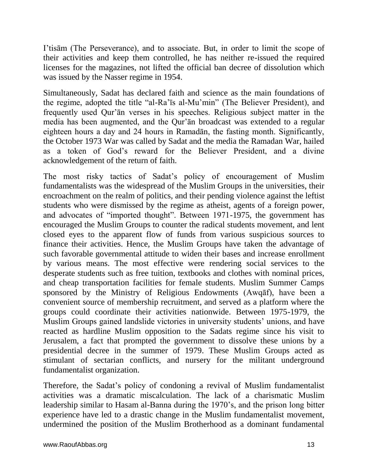I'tisām (The Perseverance), and to associate. But, in order to limit the scope of their activities and keep them controlled, he has neither re-issued the required licenses for the magazines, not lifted the official ban decree of dissolution which was issued by the Nasser regime in 1954.

Simultaneously, Sadat has declared faith and science as the main foundations of the regime, adopted the title "al-Ra'īs al-Mu'min" (The Believer President), and frequently used Qur'ān verses in his speeches. Religious subject matter in the media has been augmented, and the Qur'ān broadcast was extended to a regular eighteen hours a day and 24 hours in Ramadān, the fasting month. Significantly, the October 1973 War was called by Sadat and the media the Ramadan War, hailed as a token of God's reward for the Believer President, and a divine acknowledgement of the return of faith.

The most risky tactics of Sadat's policy of encouragement of Muslim fundamentalists was the widespread of the Muslim Groups in the universities, their encroachment on the realm of politics, and their pending violence against the leftist students who were dismissed by the regime as atheist, agents of a foreign power, and advocates of "imported thought". Between 1971-1975, the government has encouraged the Muslim Groups to counter the radical students movement, and lent closed eyes to the apparent flow of funds from various suspicious sources to finance their activities. Hence, the Muslim Groups have taken the advantage of such favorable governmental attitude to widen their bases and increase enrollment by various means. The most effective were rendering social services to the desperate students such as free tuition, textbooks and clothes with nominal prices, and cheap transportation facilities for female students. Muslim Summer Camps sponsored by the Ministry of Religious Endowments (Awqāf), have been a convenient source of membership recruitment, and served as a platform where the groups could coordinate their activities nationwide. Between 1975-1979, the Muslim Groups gained landslide victories in university students' unions, and have reacted as hardline Muslim opposition to the Sadats regime since his visit to Jerusalem, a fact that prompted the government to dissolve these unions by a presidential decree in the summer of 1979. These Muslim Groups acted as stimulant of sectarian conflicts, and nursery for the militant underground fundamentalist organization.

Therefore, the Sadat's policy of condoning a revival of Muslim fundamentalist activities was a dramatic miscalculation. The lack of a charismatic Muslim leadership similar to Hasam al-Banna during the 1970's, and the prison long bitter experience have led to a drastic change in the Muslim fundamentalist movement, undermined the position of the Muslim Brotherhood as a dominant fundamental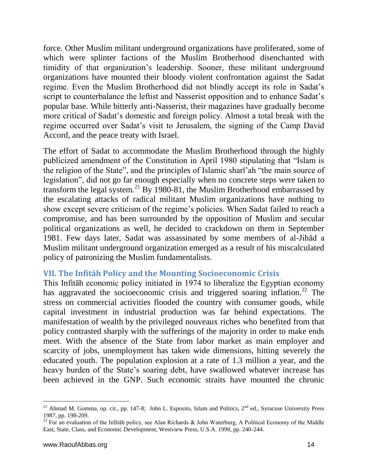force. Other Muslim militant underground organizations have proliferated, some of which were splinter factions of the Muslim Brotherhood disenchanted with timidity of that organization's leadership. Sooner, these militant underground organizations have mounted their bloody violent confrontation against the Sadat regime. Even the Muslim Brotherhood did not blindly accept its role in Sadat's script to counterbalance the leftist and Nasserist opposition and to enhance Sadat's popular base. While bitterly anti-Nasserist, their magazines have gradually become more critical of Sadat's domestic and foreign policy. Almost a total break with the regime occurred over Sadat's visit to Jerusalem, the signing of the Camp David Accord, and the peace treaty with Israel.

The effort of Sadat to accommodate the Muslim Brotherhood through the highly publicized amendment of the Constitution in April 1980 stipulating that "Islam is the religion of the State", and the principles of Islamic sharī'ah "the main source of legislation", did not go far enough especially when no concrete steps were taken to transform the legal system.<sup>21</sup> By 1980-81, the Muslim Brotherhood embarrassed by the escalating attacks of radical militant Muslim organizations have nothing to show except severe criticism of the regime's policies. When Sadat failed to reach a compromise, and has been surrounded by the opposition of Muslim and secular political organizations as well, he decided to crackdown on them in September 1981. Few days later, Sadat was assassinated by some members of al-Jihād a Muslim militant underground organization emerged as a result of his miscalculated policy of patronizing the Muslim fundamentalists.

#### **VII. The Infitāh Policy and the Mounting Socioeconomic Crisis**

This Infitāh economic policy initiated in 1974 to liberalize the Egyptian economy has aggravated the socioeconomic crisis and triggered soaring inflation.<sup>22</sup> The stress on commercial activities flooded the country with consumer goods, while capital investment in industrial production was far behind expectations. The manifestation of wealth by the privileged nouveaux riches who benefited from that policy contrasted sharply with the sufferings of the majority in order to make ends meet. With the absence of the State from labor market as main employer and scarcity of jobs, unemployment has taken wide dimensions, hitting severely the educated youth. The population explosion at a rate of 1.3 million a year, and the heavy burden of the State's soaring debt, have swallowed whatever increase has been achieved in the GNP. Such economic straits have mounted the chronic

<sup>&</sup>lt;sup>21</sup> Ahmad M. Gomma, op. cit., pp. 147-8; John L. Esposito, Islam and Politics,  $2^{nd}$  ed., Syracuse University Press 1987, pp. 198-209.

<sup>&</sup>lt;sup>22</sup> For an evaluation of the Infitah policy, see Alan Richards & John Waterburg, A Political Economy of the Middle East, State, Class, and Economic Development, Westview Press, U.S.A. 1990, pp. 240-244.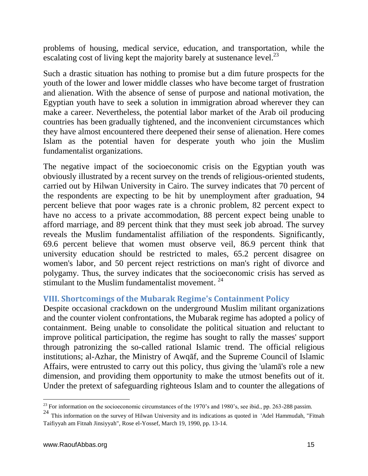problems of housing, medical service, education, and transportation, while the escalating cost of living kept the majority barely at sustenance level.<sup>23</sup>

Such a drastic situation has nothing to promise but a dim future prospects for the youth of the lower and lower middle classes who have become target of frustration and alienation. With the absence of sense of purpose and national motivation, the Egyptian youth have to seek a solution in immigration abroad wherever they can make a career. Nevertheless, the potential labor market of the Arab oil producing countries has been gradually tightened, and the inconvenient circumstances which they have almost encountered there deepened their sense of alienation. Here comes Islam as the potential haven for desperate youth who join the Muslim fundamentalist organizations.

The negative impact of the socioeconomic crisis on the Egyptian youth was obviously illustrated by a recent survey on the trends of religious-oriented students, carried out by Hilwan University in Cairo. The survey indicates that 70 percent of the respondents are expecting to be hit by unemployment after graduation, 94 percent believe that poor wages rate is a chronic problem, 82 percent expect to have no access to a private accommodation, 88 percent expect being unable to afford marriage, and 89 percent think that they must seek job abroad. The survey reveals the Muslim fundamentalist affiliation of the respondents. Significantly, 69.6 percent believe that women must observe veil, 86.9 percent think that university education should be restricted to males, 65.2 percent disagree on women's labor, and 50 percent reject restrictions on man's right of divorce and polygamy. Thus, the survey indicates that the socioeconomic crisis has served as stimulant to the Muslim fundamentalist movement.  $24$ 

## **VIII. Shortcomings of the Mubarak Regime's Containment Policy**

Despite occasional crackdown on the underground Muslim militant organizations and the counter violent confrontations, the Mubarak regime has adopted a policy of containment. Being unable to consolidate the political situation and reluctant to improve political participation, the regime has sought to rally the masses' support through patronizing the so-called rational Islamic trend. The official religious institutions; al-Azhar, the Ministry of Awqāf, and the Supreme Council of Islamic Affairs, were entrusted to carry out this policy, thus giving the 'ulamā's role a new dimension, and providing them opportunity to make the utmost benefits out of it. Under the pretext of safeguarding righteous Islam and to counter the allegations of

 $\overline{a}$ 

<sup>&</sup>lt;sup>23</sup> For information on the socioeconomic circumstances of the 1970's and 1980's, see ibid., pp. 263-288 passim.

<sup>24</sup> This information on the survey of Hilwan University and its indications as quoted in 'Adel Hammudah, "Fitnah Taifiyyah am Fitnah Jinsiyyah", Rose el-Yossef, March 19, 1990, pp. 13-14.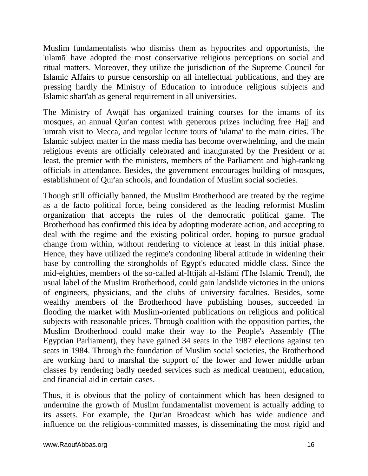Muslim fundamentalists who dismiss them as hypocrites and opportunists, the 'ulamā' have adopted the most conservative religious perceptions on social and ritual matters. Moreover, they utilize the jurisdiction of the Supreme Council for Islamic Affairs to pursue censorship on all intellectual publications, and they are pressing hardly the Ministry of Education to introduce religious subjects and Islamic sharī'ah as general requirement in all universities.

The Ministry of Awqāf has organized training courses for the imams of its mosques, an annual Qur'an contest with generous prizes including free Hajj and 'umrah visit to Mecca, and regular lecture tours of 'ulama' to the main cities. The Islamic subject matter in the mass media has become overwhelming, and the main religious events are officially celebrated and inaugurated by the President or at least, the premier with the ministers, members of the Parliament and high-ranking officials in attendance. Besides, the government encourages building of mosques, establishment of Qur'an schools, and foundation of Muslim social societies.

Though still officially banned, the Muslim Brotherhood are treated by the regime as a de facto political force, being considered as the leading reformist Muslim organization that accepts the rules of the democratic political game. The Brotherhood has confirmed this idea by adopting moderate action, and accepting to deal with the regime and the existing political order, hoping to pursue gradual change from within, without rendering to violence at least in this initial phase. Hence, they have utilized the regime's condoning liberal attitude in widening their base by controlling the strongholds of Egypt's educated middle class. Since the mid-eighties, members of the so-called al-Ittijāh al-Islāmī (The Islamic Trend), the usual label of the Muslim Brotherhood, could gain landslide victories in the unions of engineers, physicians, and the clubs of university faculties. Besides, some wealthy members of the Brotherhood have publishing houses, succeeded in flooding the market with Muslim-oriented publications on religious and political subjects with reasonable prices. Through coalition with the opposition parties, the Muslim Brotherhood could make their way to the People's Assembly (The Egyptian Parliament), they have gained 34 seats in the 1987 elections against ten seats in 1984. Through the foundation of Muslim social societies, the Brotherhood are working hard to marshal the support of the lower and lower middle urban classes by rendering badly needed services such as medical treatment, education, and financial aid in certain cases.

Thus, it is obvious that the policy of containment which has been designed to undermine the growth of Muslim fundamentalist movement is actually adding to its assets. For example, the Qur'an Broadcast which has wide audience and influence on the religious-committed masses, is disseminating the most rigid and